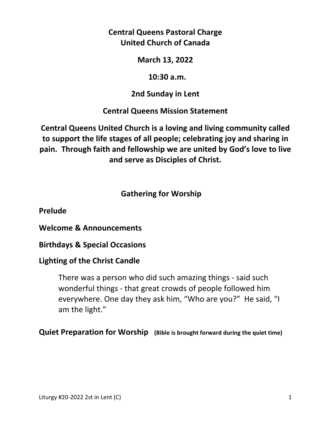# **Central Queens Pastoral Charge United Church of Canada**

**March 13, 2022** 

 **10:30 a.m.** 

**2nd Sunday in Lent** 

**Central Queens Mission Statement** 

**Central Queens United Church is a loving and living community called to support the life stages of all people; celebrating joy and sharing in pain. Through faith and fellowship we are united by God's love to live and serve as Disciples of Christ.**

 **Gathering for Worship** 

**Prelude** 

**Welcome & Announcements** 

**Birthdays & Special Occasions** 

# **Lighting of the Christ Candle**

There was a person who did such amazing things - said such wonderful things - that great crowds of people followed him everywhere. One day they ask him, "Who are you?" He said, "I am the light."

**Quiet Preparation for Worship (Bible is brought forward during the quiet time)**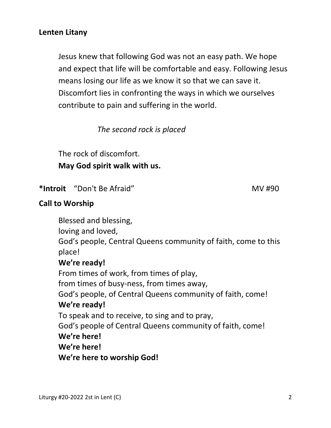### **Lenten Litany**

 Jesus knew that following God was not an easy path. We hope and expect that life will be comfortable and easy. Following Jesus means losing our life as we know it so that we can save it. Discomfort lies in confronting the ways in which we ourselves contribute to pain and suffering in the world.

# *The second rock is placed*

 The rock of discomfort.  **May God spirit walk with us.** 

\*Introit "Don't Be Afraid" And Allen and MV #90

### **Call to Worship**

 Blessed and blessing, loving and loved, God's people, Central Queens community of faith, come to this place!  **We're ready!**  From times of work, from times of play, from times of busy-ness, from times away, God's people, of Central Queens community of faith, come!  **We're ready!**  To speak and to receive, to sing and to pray, God's people of Central Queens community of faith, come!  **We're here! We're here! We're here to worship God!**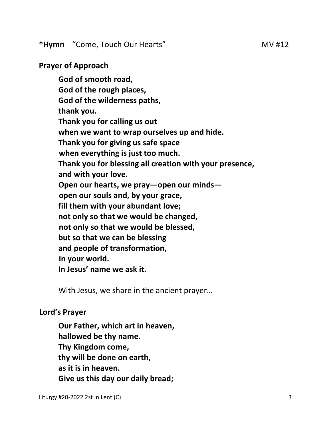\*Hymn 
"Come, Touch Our Hearts" MV #12

#### **Prayer of Approach**

 **God of smooth road, God of the rough places, God of the wilderness paths, thank you. Thank you for calling us out when we want to wrap ourselves up and hide. Thank you for giving us safe space when everything is just too much. Thank you for blessing all creation with your presence, and with your love. Open our hearts, we pray—open our minds open our souls and, by your grace, fill them with your abundant love; not only so that we would be changed, not only so that we would be blessed, but so that we can be blessing and people of transformation, in your world. In Jesus' name we ask it.** 

With Jesus, we share in the ancient prayer…

#### **Lord's Prayer**

**Our Father, which art in heaven, hallowed be thy name. Thy Kingdom come, thy will be done on earth, as it is in heaven. Give us this day our daily bread;**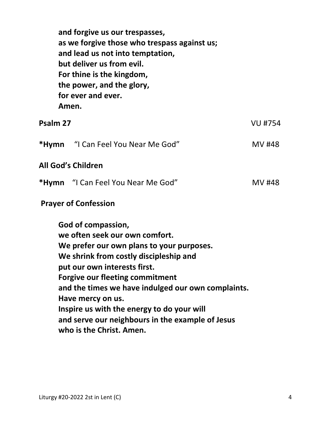**and forgive us our trespasses, as we forgive those who trespass against us; and lead us not into temptation, but deliver us from evil. For thine is the kingdom, the power, and the glory, for ever and ever. Amen.** 

#### **Psalm 27** VU #754

\*Hymn "I Can Feel You Near Me God" MV #48

#### **All God's Children**

|  | *Hymn "I Can Feel You Near Me God" | MV #48 |
|--|------------------------------------|--------|
|--|------------------------------------|--------|

#### **Prayer of Confession**

 **God of compassion, we often seek our own comfort. We prefer our own plans to your purposes. We shrink from costly discipleship and put our own interests first. Forgive our fleeting commitment and the times we have indulged our own complaints. Have mercy on us. Inspire us with the energy to do your will and serve our neighbours in the example of Jesus who is the Christ. Amen.**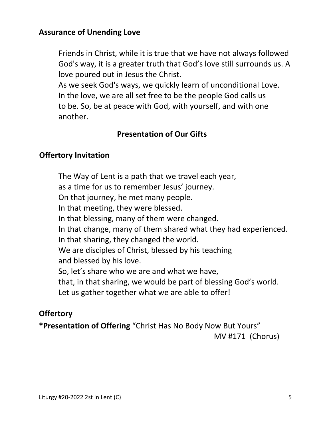### **Assurance of Unending Love**

 Friends in Christ, while it is true that we have not always followed God's way, it is a greater truth that God's love still surrounds us. A love poured out in Jesus the Christ.

 As we seek God's ways, we quickly learn of unconditional Love. In the love, we are all set free to be the people God calls us to be. So, be at peace with God, with yourself, and with one another.

# **Presentation of Our Gifts**

### **Offertory Invitation**

The Way of Lent is a path that we travel each year, as a time for us to remember Jesus' journey. On that journey, he met many people. In that meeting, they were blessed. In that blessing, many of them were changed. In that change, many of them shared what they had experienced. In that sharing, they changed the world. We are disciples of Christ, blessed by his teaching and blessed by his love. So, let's share who we are and what we have, that, in that sharing, we would be part of blessing God's world. Let us gather together what we are able to offer!

# **Offertory**

**\*Presentation of Offering** "Christ Has No Body Now But Yours" MV #171 (Chorus)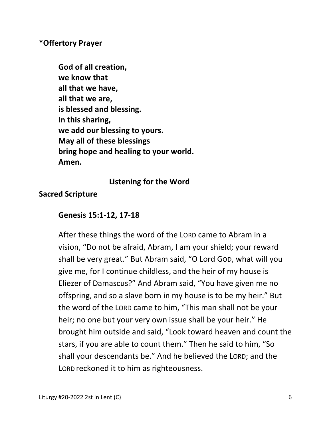#### **\*Offertory Prayer**

**God of all creation, we know that all that we have, all that we are, is blessed and blessing. In this sharing, we add our blessing to yours. May all of these blessings bring hope and healing to your world. Amen.** 

#### **Listening for the Word**

**Sacred Scripture** 

#### **Genesis 15:1-12, 17-18**

 After these things the word of the LORD came to Abram in a vision, "Do not be afraid, Abram, I am your shield; your reward shall be very great." But Abram said, "O Lord GOD, what will you give me, for I continue childless, and the heir of my house is Eliezer of Damascus?" And Abram said, "You have given me no offspring, and so a slave born in my house is to be my heir." But the word of the LORD came to him, "This man shall not be your heir; no one but your very own issue shall be your heir." He brought him outside and said, "Look toward heaven and count the stars, if you are able to count them." Then he said to him, "So shall your descendants be." And he believed the LORD; and the LORD reckoned it to him as righteousness.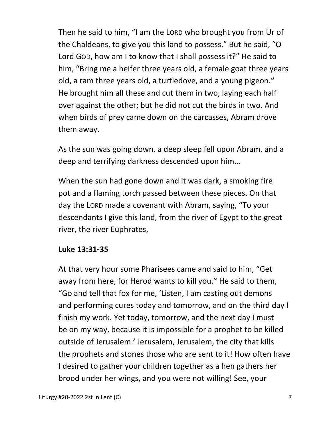Then he said to him, "I am the LORD who brought you from Ur of the Chaldeans, to give you this land to possess." But he said, "O Lord GOD, how am I to know that I shall possess it?" He said to him, "Bring me a heifer three years old, a female goat three years old, a ram three years old, a turtledove, and a young pigeon." He brought him all these and cut them in two, laying each half over against the other; but he did not cut the birds in two. And when birds of prey came down on the carcasses, Abram drove them away.

As the sun was going down, a deep sleep fell upon Abram, and a deep and terrifying darkness descended upon him...

When the sun had gone down and it was dark, a smoking fire pot and a flaming torch passed between these pieces. On that day the LORD made a covenant with Abram, saying, "To your descendants I give this land, from the river of Egypt to the great river, the river Euphrates,

### **Luke 13:31-35**

At that very hour some Pharisees came and said to him, "Get away from here, for Herod wants to kill you." He said to them, "Go and tell that fox for me, 'Listen, I am casting out demons and performing cures today and tomorrow, and on the third day I finish my work. Yet today, tomorrow, and the next day I must be on my way, because it is impossible for a prophet to be killed outside of Jerusalem.' Jerusalem, Jerusalem, the city that kills the prophets and stones those who are sent to it! How often have I desired to gather your children together as a hen gathers her brood under her wings, and you were not willing! See, your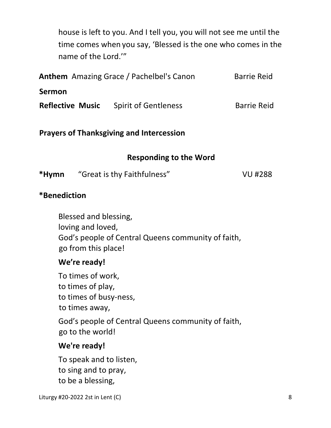house is left to you. And I tell you, you will not see me until the time comes when you say, 'Blessed is the one who comes in the name of the Lord.'"

|                         | <b>Anthem</b> Amazing Grace / Pachelbel's Canon | <b>Barrie Reid</b> |
|-------------------------|-------------------------------------------------|--------------------|
| <b>Sermon</b>           |                                                 |                    |
| <b>Reflective Music</b> | <b>Spirit of Gentleness</b>                     | <b>Barrie Reid</b> |

**Prayers of Thanksgiving and Intercession** 

# **Responding to the Word**

| *Hymn | "Great is thy Faithfulness" | VU #288 |
|-------|-----------------------------|---------|
|-------|-----------------------------|---------|

### **\*Benediction**

 Blessed and blessing, loving and loved, God's people of Central Queens community of faith, go from this place!

# **We're ready!**

 To times of work, to times of play, to times of busy-ness, to times away,

 God's people of Central Queens community of faith, go to the world!

# **We're ready!**

 To speak and to listen, to sing and to pray, to be a blessing,